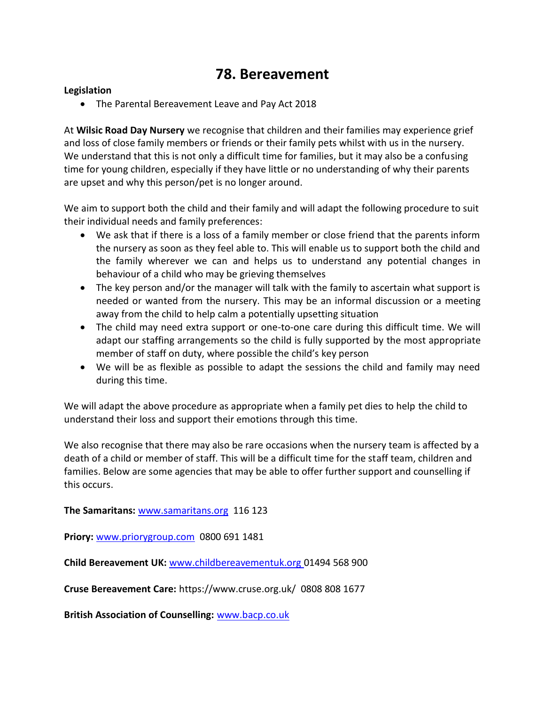## **78. Bereavement**

## **Legislation**

• The Parental Bereavement Leave and Pay Act 2018

At **Wilsic Road Day Nursery** we recognise that children and their families may experience grief and loss of close family members or friends or their family pets whilst with us in the nursery. We understand that this is not only a difficult time for families, but it may also be a confusing time for young children, especially if they have little or no understanding of why their parents are upset and why this person/pet is no longer around.

We aim to support both the child and their family and will adapt the following procedure to suit their individual needs and family preferences:

- We ask that if there is a loss of a family member or close friend that the parents inform the nursery as soon as they feel able to. This will enable us to support both the child and the family wherever we can and helps us to understand any potential changes in behaviour of a child who may be grieving themselves
- The key person and/or the manager will talk with the family to ascertain what support is needed or wanted from the nursery. This may be an informal discussion or a meeting away from the child to help calm a potentially upsetting situation
- The child may need extra support or one-to-one care during this difficult time. We will adapt our staffing arrangements so the child is fully supported by the most appropriate member of staff on duty, where possible the child's key person
- We will be as flexible as possible to adapt the sessions the child and family may need during this time.

We will adapt the above procedure as appropriate when a family pet dies to help the child to understand their loss and support their emotions through this time.

We also recognise that there may also be rare occasions when the nursery team is affected by a death of a child or member of staff. This will be a difficult time for the staff team, children and families. Below are some agencies that may be able to offer further support and counselling if this occurs.

**The Samaritans:** [www.samaritans.org](http://www.samaritans.org/) 116 123

**Priory:** [www.priorygroup.com](https://www.priorygroup.com/) 0800 691 1481

**Child Bereavement UK:** [www.childbereavementuk.org](http://www.childbereavementuk.org/) 01494 568 900

**Cruse Bereavement Care:** <https://www.cruse.org.uk/>0808 808 1677

**British Association of Counselling:** [www.bacp.co.uk](http://www.bacp.co.uk/)